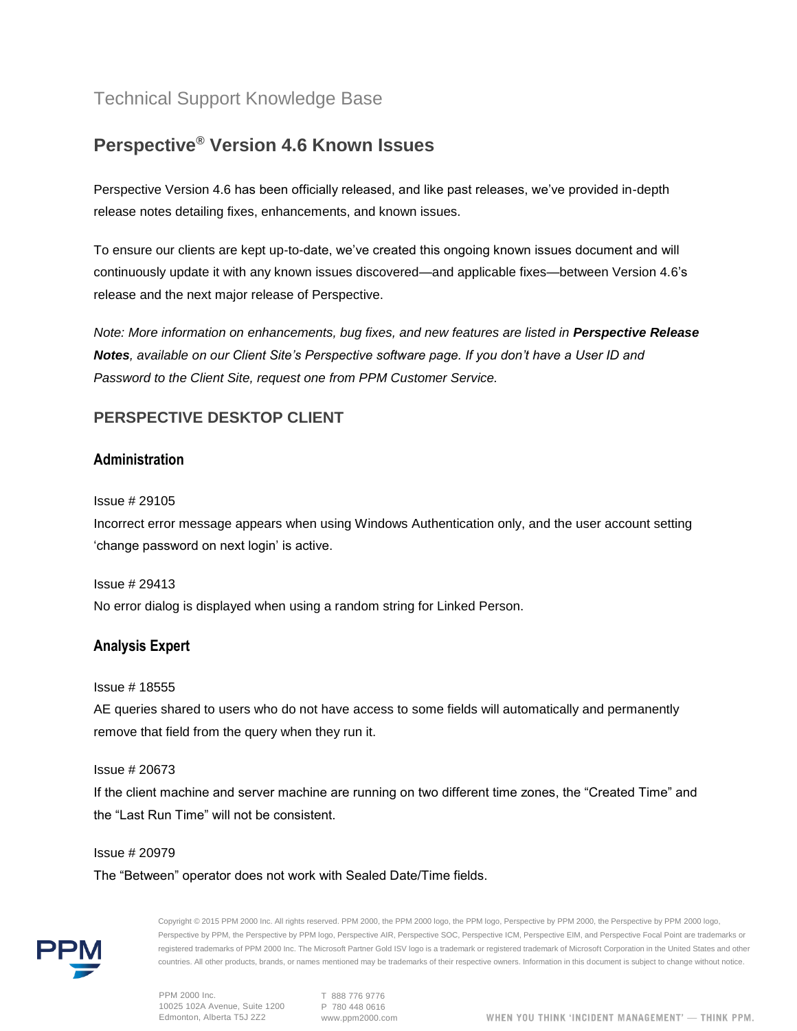# Technical Support Knowledge Base

# **Perspective® Version 4.6 Known Issues**

Perspective Version 4.6 has been officially released, and like past releases, we've provided in-depth release notes detailing fixes, enhancements, and known issues.

To ensure our clients are kept up-to-date, we've created this ongoing known issues document and will continuously update it with any known issues discovered—and applicable fixes—between Version 4.6's release and the next major release of Perspective.

*Note: More information on enhancements, bug fixes, and new features are listed in Perspective Release Notes, available on our Client Site's Perspective software page. If you don't have a User ID and Password to the Client Site, request one from PPM Customer Service.*

# **PERSPECTIVE DESKTOP CLIENT**

### **Administration**

#### Issue # 29105

Incorrect error message appears when using Windows Authentication only, and the user account setting 'change password on next login' is active.

Issue # 29413

No error dialog is displayed when using a random string for Linked Person.

### **Analysis Expert**

#### Issue # 18555

AE queries shared to users who do not have access to some fields will automatically and permanently remove that field from the query when they run it.

#### Issue # 20673

If the client machine and server machine are running on two different time zones, the "Created Time" and the "Last Run Time" will not be consistent.

#### Issue # 20979

The "Between" operator does not work with Sealed Date/Time fields.



Copyright © 2015 PPM 2000 Inc. All rights reserved. PPM 2000, the PPM 2000 logo, the PPM logo, Perspective by PPM 2000, the Perspective by PPM 2000 logo, Perspective by PPM, the Perspective by PPM logo, Perspective AIR, Perspective SOC, Perspective ICM, Perspective EIM, and Perspective Focal Point are trademarks or registered trademarks of PPM 2000 Inc. The Microsoft Partner Gold ISV logo is a trademark or registered trademark of Microsoft Corporation in the United States and other countries. All other products, brands, or names mentioned may be trademarks of their respective owners. Information in this document is subject to change without notice.

T 888 776 9776 www.ppm2000.com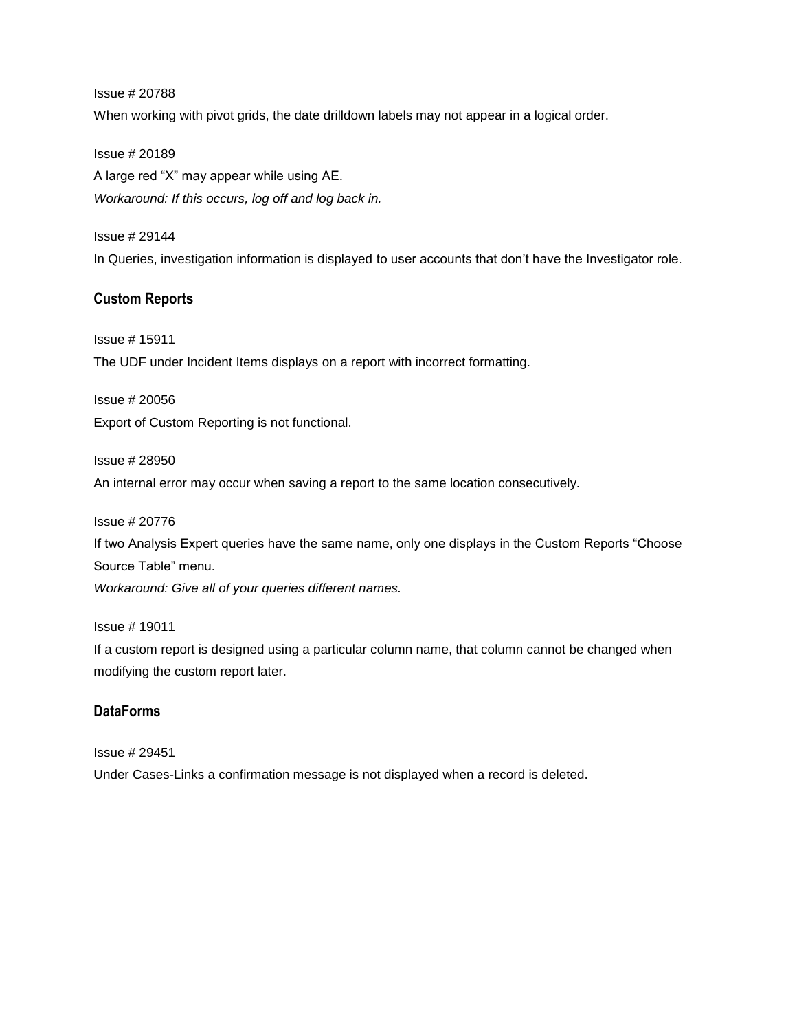Issue # 20788 When working with pivot grids, the date drilldown labels may not appear in a logical order.

Issue # 20189 A large red "X" may appear while using AE. *Workaround: If this occurs, log off and log back in.*

Issue # 29144 In Queries, investigation information is displayed to user accounts that don't have the Investigator role.

# **Custom Reports**

Issue # 15911 The UDF under Incident Items displays on a report with incorrect formatting.

Issue # 20056 Export of Custom Reporting is not functional.

Issue # 28950 An internal error may occur when saving a report to the same location consecutively.

Issue # 20776

If two Analysis Expert queries have the same name, only one displays in the Custom Reports "Choose Source Table" menu.

*Workaround: Give all of your queries different names.*

Issue # 19011

If a custom report is designed using a particular column name, that column cannot be changed when modifying the custom report later.

## **DataForms**

Issue # 29451 Under Cases-Links a confirmation message is not displayed when a record is deleted.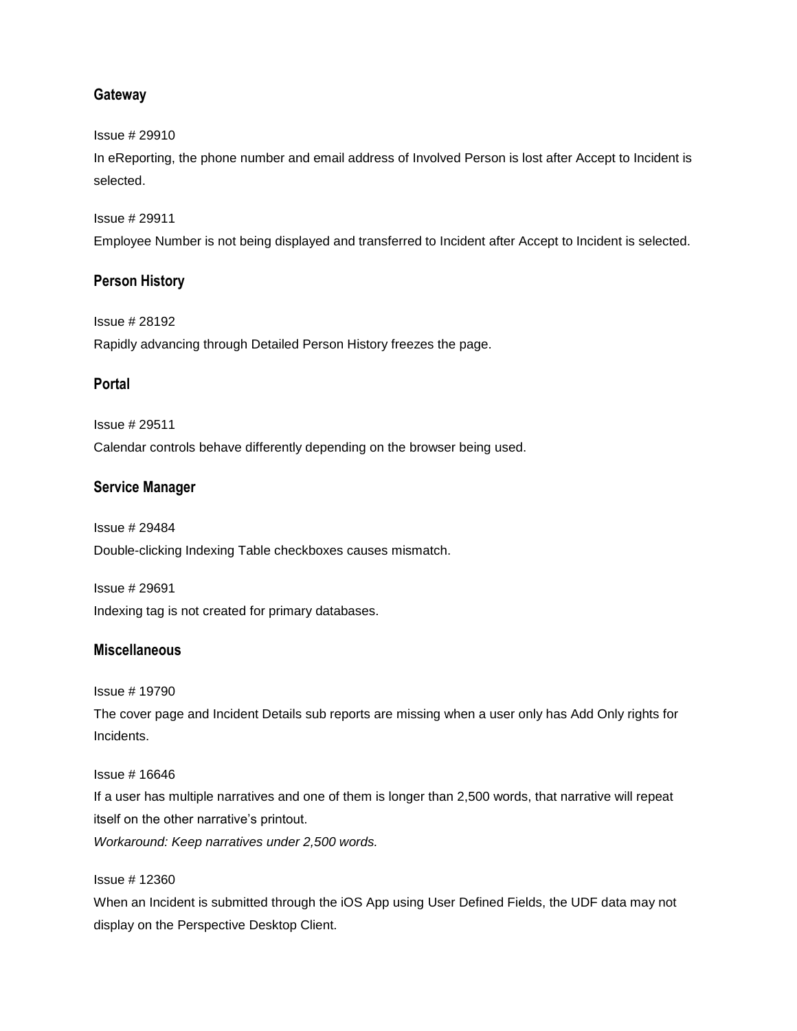### **Gateway**

#### Issue # 29910

In eReporting, the phone number and email address of Involved Person is lost after Accept to Incident is selected.

#### Issue # 29911

Employee Number is not being displayed and transferred to Incident after Accept to Incident is selected.

### **Person History**

Issue # 28192 Rapidly advancing through Detailed Person History freezes the page.

### **Portal**

Issue # 29511 Calendar controls behave differently depending on the browser being used.

### **Service Manager**

Issue # 29484 Double-clicking Indexing Table checkboxes causes mismatch.

Issue # 29691 Indexing tag is not created for primary databases.

### **Miscellaneous**

Issue # 19790

The cover page and Incident Details sub reports are missing when a user only has Add Only rights for Incidents.

Issue # 16646

If a user has multiple narratives and one of them is longer than 2,500 words, that narrative will repeat itself on the other narrative's printout.

*Workaround: Keep narratives under 2,500 words.*

#### Issue # 12360

When an Incident is submitted through the iOS App using User Defined Fields, the UDF data may not display on the Perspective Desktop Client.